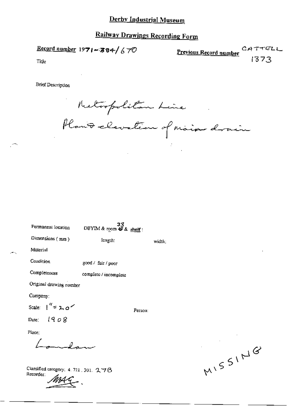# **Railway Drawings Recording Form**

Record number  $1971 - 384 / 670$ 

Previous Record number CATTELL 1373

Title

**Brief Description** 

Retrofolitan Line<br>Plant elevation of main drain

| Permanent location                    | دد<br>DBYIM & room $\overline{\mathcal{B}}$ & shelf: |         |        |
|---------------------------------------|------------------------------------------------------|---------|--------|
| Dimensions (mm)                       | length:                                              |         | width; |
| Material                              |                                                      |         |        |
| Condition                             | good / fair / poor                                   |         |        |
| Completeness                          | complete / incomplete                                |         |        |
| Original drawing number               |                                                      |         |        |
| Company:                              |                                                      |         |        |
| Scale: $1'' = 2.0$                    |                                                      | Person: |        |
| Date: $1908$                          |                                                      |         |        |
| Place;                                |                                                      |         |        |
| معدلك مست                             |                                                      |         |        |
| Classified category: 4, 721, 301, 276 |                                                      |         |        |

- -

Recorder:

 $\label{eq:2.1} \frac{1}{2} \int_{\mathbb{R}^3} \frac{1}{\sqrt{2}} \, \frac{1}{\sqrt{2}} \, \frac{1}{\sqrt{2}} \, \frac{1}{\sqrt{2}} \, \frac{1}{\sqrt{2}} \, \frac{1}{\sqrt{2}} \, \frac{1}{\sqrt{2}} \, \frac{1}{\sqrt{2}} \, \frac{1}{\sqrt{2}} \, \frac{1}{\sqrt{2}} \, \frac{1}{\sqrt{2}} \, \frac{1}{\sqrt{2}} \, \frac{1}{\sqrt{2}} \, \frac{1}{\sqrt{2}} \, \frac{1}{\sqrt{2}} \, \frac{1}{\sqrt{2}} \,$ MISSING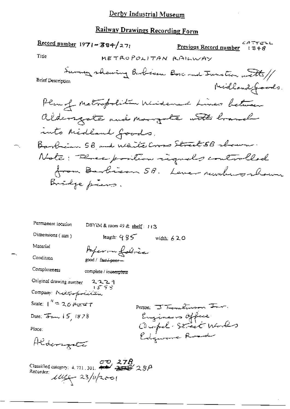# Railway Drawings Recording Form

|                                              | Record number 1971 - 384/271           | Previous Record number                           | ムタティビレレ<br>1348 |
|----------------------------------------------|----------------------------------------|--------------------------------------------------|-----------------|
| Title                                        |                                        | METROPOLITAN RAILWAY                             |                 |
| <b>Brief Description</b>                     |                                        | Survey showing Barbian Bosc and Junction with // | Midland Joods.  |
|                                              |                                        | Plan of Metropolitic Widemand Lines between      |                 |
|                                              |                                        | aldersgate and mangule with branch               |                 |
|                                              | ruts Midland Goods.                    |                                                  |                 |
|                                              |                                        | Barbian 58 and White Cross Street 58 shown.      |                 |
|                                              |                                        | Note: Three position requals controlled          |                 |
|                                              |                                        | from Barbican 5B. Lever rushworkown              |                 |
|                                              | Bridge piers.                          |                                                  |                 |
| Permanent location                           | DBYIM & room 49 & shelf: $113$         |                                                  |                 |
| Dimensions (mm)                              | length: 985                            | width: $620$                                     |                 |
| Material                                     | Paper in fabrica                       |                                                  |                 |
| Condition                                    | good / fars <del>/pear —</del>         |                                                  |                 |
| Completeness                                 | complete / incomplete                  |                                                  |                 |
| Original drawing number                      | ۹ ۲۰ ۲۰<br>۱ <i>۰ ۲۶ ۲</i> ۰           |                                                  |                 |
| Company: Metropolitan                        |                                        |                                                  |                 |
|                                              |                                        | Person J Temelinson Inr.                         |                 |
| Date: $\overline{d}$ and $\overline{d}$ 1878 |                                        | Engineers Office<br>Clupel Street Works          |                 |
| Place:                                       |                                        |                                                  |                 |
| Aldersgate                                   |                                        |                                                  |                 |
| Classified category: $1.721 - 20$            | $\frac{\partial P}{\partial \rho}$ 278 |                                                  |                 |

Classified category: 4.721.301. 4 23/3/2001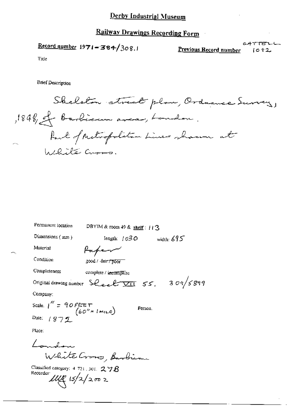## **Railway Drawings Recording Form**

Record number  $1971 - 384 / 308.1$ 

Previous Record number

CATTELL  $1092$ 

Title

**Brief Description** 

Skeleton street plan, Ordnance Survey, ,1848, et barbican avec , Landon. Part of Metropolitan Lines shown at  $\mathcal{L}$ White Curs.

| Permanent location                                                  | DBYIM & room 49 & shelf: 113                                |
|---------------------------------------------------------------------|-------------------------------------------------------------|
| Dimensions (mm)                                                     | width: $695^\circ$<br>length: $1030$                        |
| Material                                                            | Kape                                                        |
| Condition                                                           | good / fmr/poor                                             |
| Completeness                                                        | complete / incomplete                                       |
|                                                                     | Original drawing number Sheel $\overline{VII}$ 55, 309/5899 |
| Company:                                                            |                                                             |
| Scale. $1'' = 90$ FEET (60''= 1 MILE)                               | Person,                                                     |
| Date: $(872$                                                        |                                                             |
| Place:                                                              |                                                             |
|                                                                     |                                                             |
|                                                                     | White Cross, Barbier                                        |
| Classified category: $4\,$ 721 , 301, $\,$ 2 $\,$ 7 $B$<br>Recorder |                                                             |
| $1111$ $15/2/2002$                                                  |                                                             |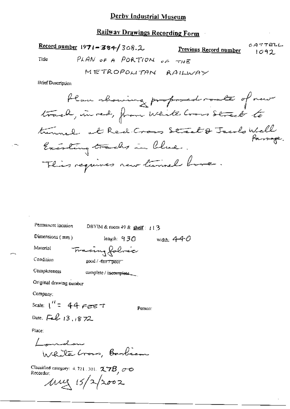# **Railway Drawings Recording Form**

 $CATTELL$ Record number  $1971 - 384 / 308.2$ <u>Previous Record number</u>  $1092$ PLAN OF A PORTION OF THE Title METROPOLITAN RAILWAY

**Brief Description** 

| Permancut location      | DBYIM & room 49 & shelf: $\pm 1.3$ |              |
|-------------------------|------------------------------------|--------------|
| Dimensions $(mm)$       | length: 930                        | width: $440$ |
| Material                | Fracing folice                     |              |
| Condition               | good / <del>fair7 poor</del>       |              |
| Completeness            | complete / incomplete.             |              |
| Original drawing number |                                    |              |
| Company:                |                                    |              |
| Scale: $1'' = 44$ FEET  | Person:                            |              |
| Date, Feb 13, 1872      |                                    |              |
| Place:                  |                                    |              |
| ' undon                 | White Crows, Barbian               |              |

Classified category: 4.721.301.  $27B$ ,  $\sigma$  o<br>Recorder:<br> $\mu$   $\mu$   $\left(5/2/2\sigma$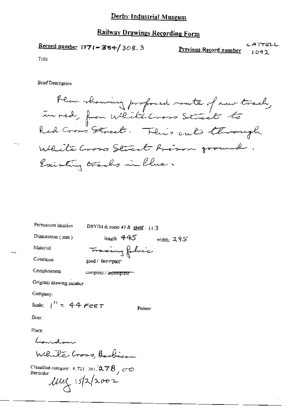### **Railway Drawings Recording Form**

CATTELL  $\frac{\text{Record number}}{1971 - 384}$  308.3 Previous Record number  $1092$ 

Title

**Brief Description** 

Plan showing profoned raute of new track, in red, from White Cross Street to White Cross Street Arison ground. Existing tracks in blue.

Permanent location DBYIM & room 49 & shelf:  $113$ length:  $445$  width: 295 Dimensions (mm) Tracing fobric Material Condition  $good /$   $bin /$   $root$ Completeness complete / incomplete -Original drawing number Company: Scale:  $1^{11} = 44$  Feet Person

Date:

Place:

Landwa While Cross, Barbian

Classified category:  $4.721 \cdot 301$ ,  $2.78$ ,  $0.00$ Recorder<sup>.</sup>

 $100 \times 15$  2002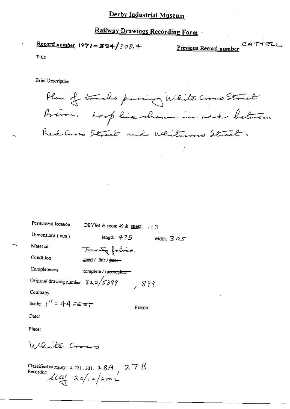# Railway Drawings Recording Form

Record number  $1971 - 384/308.4$ 

CATTELL Previous Record number

Title

**Brief Description** 

Plan of tracks passing White Cross Street Arison. Loop line shown in red between Red Cross Street and Whiteward Street.

| Permanent location                        | DBYIM & room 49 & shelf: $113$              |                        |
|-------------------------------------------|---------------------------------------------|------------------------|
| Dimensions $(mn)$                         | length: 475                                 | width: $3 \, \alpha s$ |
| Material                                  | Francis fabric.                             |                        |
| Condition                                 | <del>gaa</del> d / fair / <del>peer -</del> |                        |
| Completeness                              | complete / incomplete                       |                        |
| Original drawing number $320/\sqrt{5899}$ |                                             | 899                    |
| Company:                                  |                                             |                        |
| Scale: $1'' = 44.5557$                    |                                             | Person:                |
| Date:                                     |                                             |                        |
| Place:                                    |                                             |                        |
| Waite Cross                               |                                             |                        |

Classified category: 4, 721, 301, 28A, 27B,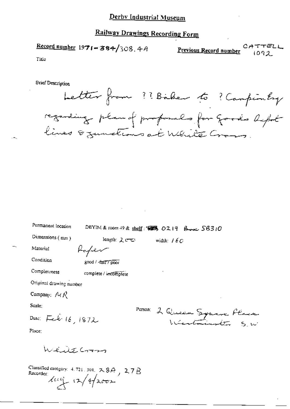# Railway Drawings Recording Form

Record number 1971-384/308.4A CATTELL Previous Record number 1092

Title

**Brief Description** 



| Permanent location                     | $DEFIM$ & room $+9$ & shelf: $\sqrt{485}$ , $0219$ , $\beta_{\text{max}}$ , $S6310$ |                              |  |
|----------------------------------------|-------------------------------------------------------------------------------------|------------------------------|--|
| Dimensions $(mn)$                      | length: 2 cm                                                                        | width: $16C$                 |  |
| Material                               | Hopen                                                                               |                              |  |
| Condition                              | good / fair / poor                                                                  |                              |  |
| Completeness                           | complete / incomplete                                                               |                              |  |
| Original drawing number                |                                                                                     |                              |  |
| Company: $\Lambda_f \mathcal{R}$       |                                                                                     |                              |  |
| Scale:                                 |                                                                                     |                              |  |
| Date: Feb. 16, 1872                    |                                                                                     | PETSON: 2 Queen Syname Place |  |
| Place:                                 |                                                                                     |                              |  |
| وسههما رى لا الكاما                    |                                                                                     |                              |  |
| Recorder $\mu$ $\rightarrow$ 12/4/2002 | Classified category: $4.721$ , $301$ , $2.89$ , $2.78$                              |                              |  |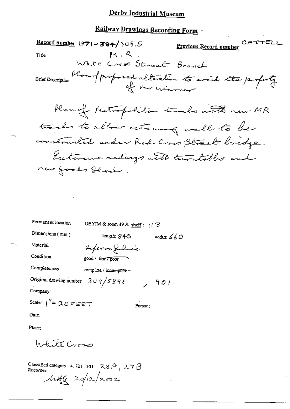# Railway Drawings Recording Form

|                                   | Record number $1971 - 364 / 308.5$ | CATTELL ا <mark>Previous Record number</mark>                       |
|-----------------------------------|------------------------------------|---------------------------------------------------------------------|
| Title                             | M.R.                               |                                                                     |
|                                   | White Cross Street Branch          |                                                                     |
|                                   |                                    | Brief Description Plan of proposed alteration to avoid the property |
|                                   |                                    | Plan of Metropolitan tracks with new MR                             |
|                                   |                                    | tracks to allow retaining wall to be                                |
|                                   |                                    | constructed under Red-Cross Street bridge.                          |
|                                   |                                    | Extensive redings with turntables and                               |
| new foods Shed.                   |                                    |                                                                     |
|                                   |                                    |                                                                     |
| the control of the control of the |                                    |                                                                     |
|                                   |                                    |                                                                     |
| Permanent location                | DBYIM & room 49 & shelf: $1/3$     |                                                                     |
| Dimensions (mm)                   | length: 845                        | width: $660$                                                        |

 $7901$ 

Person:

Referen folmés good / fair / poor

 $309/5896$ 

Completeness complete / incomplete --

Original drawing number

Company:

Material

Condition

Scaler  $1''=20$  PEET

Date:

Place:

Willite Cross

Classified category: 4, 721, 301,  $28A$ ,  $27B$ <br>Recorder:

Mity 20/12/2002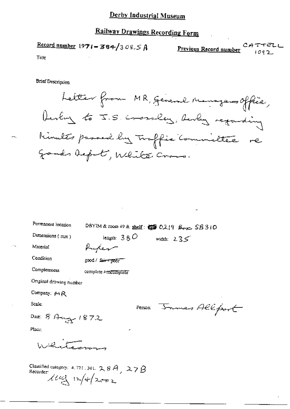# Railway Drawings Recording Form

Record number  $1971 - 384/308.5A$  $CAT$ Previous Record number

Tide

**Brief Description** 



| Permanent location                     | DBYIM & room 49 & shelf: $\frac{1}{2}$ O219 $\beta_{\text{max}}$ SB 310 |
|----------------------------------------|-------------------------------------------------------------------------|
| Dimensions (mm)                        | length: $380$<br>width $235$                                            |
| Material                               | Huker                                                                   |
| Condition                              | good / fair / poor                                                      |
| Completeness                           | complete Fincomplete                                                    |
| Original drawing number                |                                                                         |
| Company: MR                            |                                                                         |
| Scale:                                 | Person James Alle                                                       |
| Date: 8 Aug 1872                       |                                                                         |
| Place:                                 | ۰                                                                       |
| يسترند يملئه                           |                                                                         |
| Recorder:<br>$1000 \times 10^{4}$ 2002 | Classified category: 4, 721, 301, $2, 8A$ , $27B$                       |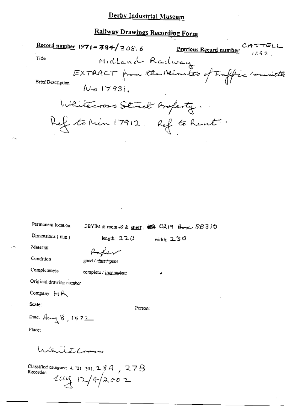### Railway Drawings Recording Form

|                                   | <u> Contra Diamings Recording Locil</u>                           |              |  |
|-----------------------------------|-------------------------------------------------------------------|--------------|--|
|                                   | Record number 1971 - 304/308.6 Previous Record number $CHTTELL$   |              |  |
| Title                             | Midland Radway                                                    |              |  |
| Brief Description                 | EXTRACT from the Nivels of Traffic committee<br>$N$ -0 1793i.     |              |  |
|                                   | Whitecross Street Boperty.                                        |              |  |
|                                   | Ket to Min 17912. Ref to Rent.                                    |              |  |
|                                   |                                                                   |              |  |
|                                   |                                                                   |              |  |
|                                   |                                                                   |              |  |
|                                   |                                                                   |              |  |
|                                   |                                                                   |              |  |
|                                   |                                                                   |              |  |
| Permanent location                | DBYIM & room 49 & shelf: $\otimes$ Q219 $\otimes$ $\otimes$ SB310 |              |  |
| Dimensions (mm)                   | length: $220$                                                     | width: $230$ |  |
| Material                          | Poper                                                             |              |  |
| Condition                         | good / <del>-fair / po</del> or                                   |              |  |
| Completeness                      | complete / incomplete-                                            | ۰            |  |
| Original drawing number           |                                                                   |              |  |
| Company: M                        |                                                                   |              |  |
| Scale:                            | Person:                                                           |              |  |
| Date: $A_1 = \frac{1}{3} 8, 1872$ |                                                                   |              |  |
| Place:                            |                                                                   |              |  |
| Williams                          |                                                                   |              |  |
|                                   |                                                                   |              |  |

Classified category: 4.721.301.28A, 27B<br>Recorder:<br> $4\pi\sqrt{4}$ 2002

 $\mathbf{r}$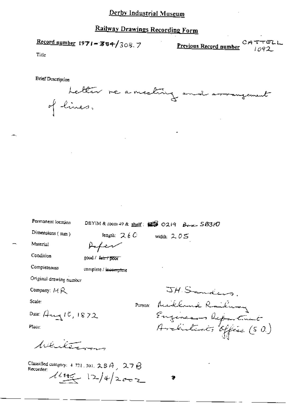### Railway Drawings Recording Form

Record number 1971-384/308.7

 $CATTELL$ Previous Record number

Title

**Brief Description** 

Letter re a meeting on il arrangement of lines.

| Permanent location |  |
|--------------------|--|
|--------------------|--|

Material

DBYIM & room 49 & shelf:  $\mathbb{R}$  0219 Berger SB310

width:  $2.05$ 

length:  $26C$ 

Afer

complete / incomplete

good / ferrit poor

Dimensions (mm)

Condition

Completeness

Original drawing number

Company: MR

Scale:

Purson:

Date: Aug 10, 1872

Place:

heliterans

Classified category:  $4.721$ , 301,  $2.8A$ ,  $2.7B$ Recorder:  $44.42 + 12/4/2002$ 

JH Sanders. Milland Railway<br>Enginears Riportunit<br>Architects Office (50)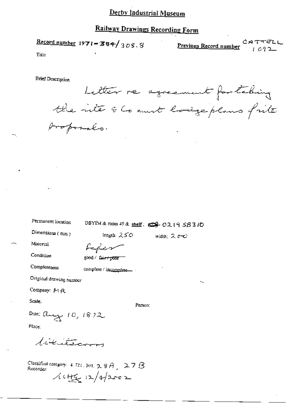## Railway Drawings Recording Form

Record number 1971-384/308.8

 $CATTELL$ <br> $1092$ Previous Record number

Title

**Brief Description** 

Permanent location

Letter re agreement for tabing the inte of Comment lodge plans frite proposals.

| Permanent location      | DBYIM & room 49 & shelf: $\bigoplus$ O2 19 SB 310 |             |
|-------------------------|---------------------------------------------------|-------------|
| Dimensions (mm)         | length: $250$                                     | width: $2e$ |
| Material                | Lafer                                             |             |
| Condition               | good / fair+poor                                  |             |
| Completeness            | complete / incomplete                             |             |
| Original drawing number |                                                   | ۰.,         |
| Company: MR             |                                                   |             |
| Scale:                  | Person;                                           |             |

Date: aug  $10, 1872$ 

Place:

Littleberry

Classified category: 4, 721, 301,  $\sim$   $\approx$   $A_{\perp}$   $\approx$   $7B$ Recorder:  $1445 + 12/42002$